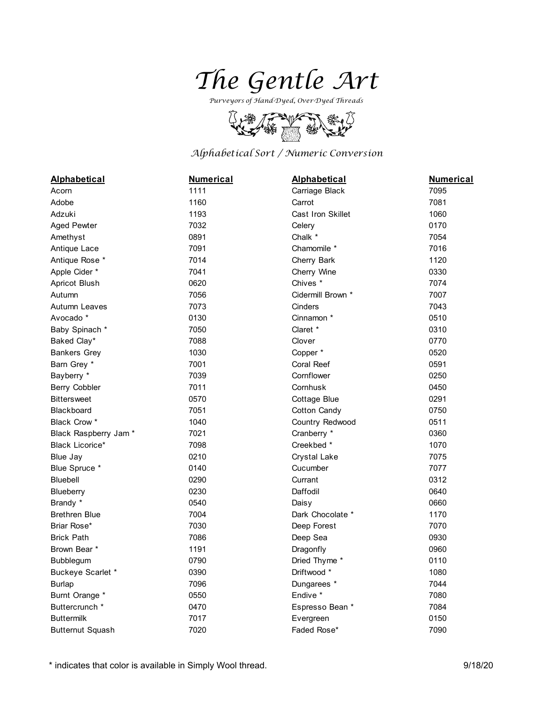

*Purveyors of Hand-Dyed, Over-Dyed Threads*



## *Alphabetical Sort / Numeric Conversion*

| <b>Alphabetical</b>     | <b>Numerical</b> | <b>Alphabetical</b> | <b>Numerical</b> |
|-------------------------|------------------|---------------------|------------------|
| Acorn                   | 1111             | Carriage Black      | 7095             |
| Adobe                   | 1160             | Carrot              | 7081             |
| Adzuki                  | 1193             | Cast Iron Skillet   | 1060             |
| <b>Aged Pewter</b>      | 7032             | Celery              | 0170             |
| Amethyst                | 0891             | Chalk *             | 7054             |
| Antique Lace            | 7091             | Chamomile *         | 7016             |
| Antique Rose *          | 7014             | Cherry Bark         | 1120             |
| Apple Cider *           | 7041             | Cherry Wine         | 0330             |
| Apricot Blush           | 0620             | Chives <sup>*</sup> | 7074             |
| Autumn                  | 7056             | Cidermill Brown *   | 7007             |
| Autumn Leaves           | 7073             | Cinders             | 7043             |
| Avocado *               | 0130             | Cinnamon *          | 0510             |
| Baby Spinach *          | 7050             | Claret *            | 0310             |
| Baked Clay*             | 7088             | Clover              | 0770             |
| <b>Bankers Grey</b>     | 1030             | Copper*             | 0520             |
| Barn Grey *             | 7001             | Coral Reef          | 0591             |
| Bayberry *              | 7039             | Cornflower          | 0250             |
| Berry Cobbler           | 7011             | Cornhusk            | 0450             |
| <b>Bittersweet</b>      | 0570             | <b>Cottage Blue</b> | 0291             |
| <b>Blackboard</b>       | 7051             | Cotton Candy        | 0750             |
| Black Crow *            | 1040             | Country Redwood     | 0511             |
| Black Raspberry Jam*    | 7021             | Cranberry *         | 0360             |
| <b>Black Licorice*</b>  | 7098             | Creekbed *          | 1070             |
| Blue Jay                | 0210             | <b>Crystal Lake</b> | 7075             |
| Blue Spruce *           | 0140             | Cucumber            | 7077             |
| Bluebell                | 0290             | Currant             | 0312             |
| Blueberry               | 0230             | Daffodil            | 0640             |
| Brandy *                | 0540             | Daisy               | 0660             |
| <b>Brethren Blue</b>    | 7004             | Dark Chocolate *    | 1170             |
| Briar Rose*             | 7030             | Deep Forest         | 7070             |
| <b>Brick Path</b>       | 7086             | Deep Sea            | 0930             |
| Brown Bear *            | 1191             | Dragonfly           | 0960             |
| Bubblegum               | 0790             | Dried Thyme *       | 0110             |
| Buckeye Scarlet *       | 0390             | Driftwood *         | 1080             |
| <b>Burlap</b>           | 7096             | Dungarees *         | 7044             |
| Burnt Orange *          | 0550             | Endive *            | 7080             |
| Buttercrunch *          | 0470             | Espresso Bean *     | 7084             |
| <b>Buttermilk</b>       | 7017             | Evergreen           | 0150             |
| <b>Butternut Squash</b> | 7020             | Faded Rose*         | 7090             |

\* indicates that color is available in Simply Wool thread. 9/18/20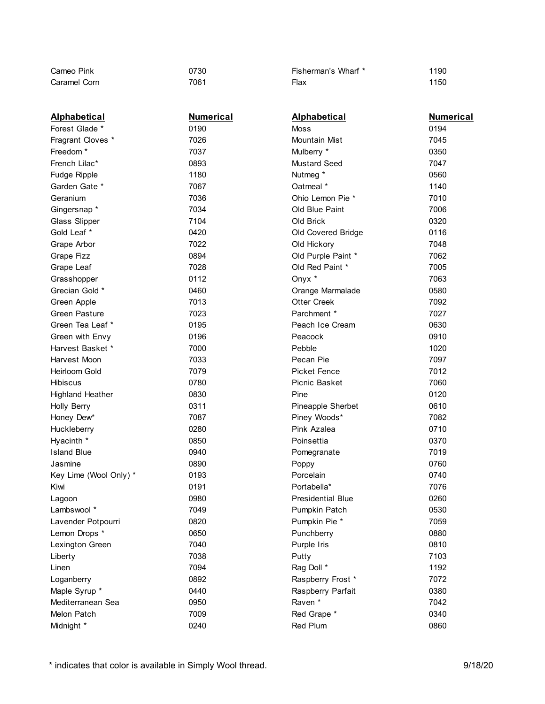| Cameo Pink              | 0730             | Fisherman's Wharf *      | 1190             |
|-------------------------|------------------|--------------------------|------------------|
| Caramel Corn            | 7061             | Flax                     | 1150             |
|                         |                  |                          |                  |
|                         |                  |                          |                  |
| <b>Alphabetical</b>     | <b>Numerical</b> | <b>Alphabetical</b>      | <u>Numerical</u> |
| Forest Glade *          | 0190             | Moss                     | 0194             |
| Fragrant Cloves *       | 7026             | Mountain Mist            | 7045             |
| Freedom <sup>*</sup>    | 7037             | Mulberry *               | 0350             |
| French Lilac*           | 0893             | <b>Mustard Seed</b>      | 7047             |
| Fudge Ripple            | 1180             | Nutmeg *                 | 0560             |
| Garden Gate *           | 7067             | Oatmeal *                | 1140             |
| Geranium                | 7036             | Ohio Lemon Pie *         | 7010             |
| Gingersnap*             | 7034             | Old Blue Paint           | 7006             |
| Glass Slipper           | 7104             | Old Brick                | 0320             |
| Gold Leaf *             | 0420             | Old Covered Bridge       | 0116             |
| Grape Arbor             | 7022             | Old Hickory              | 7048             |
| Grape Fizz              | 0894             | Old Purple Paint *       | 7062             |
| Grape Leaf              | 7028             | Old Red Paint *          | 7005             |
| Grasshopper             | 0112             | Onyx *                   | 7063             |
| Grecian Gold *          | 0460             | Orange Marmalade         | 0580             |
| Green Apple             | 7013             | <b>Otter Creek</b>       | 7092             |
| <b>Green Pasture</b>    | 7023             | Parchment *              | 7027             |
| Green Tea Leaf *        | 0195             | Peach Ice Cream          | 0630             |
| Green with Envy         | 0196             | Peacock                  | 0910             |
| Harvest Basket *        | 7000             | Pebble                   | 1020             |
| Harvest Moon            | 7033             | Pecan Pie                | 7097             |
| <b>Heirloom Gold</b>    | 7079             | <b>Picket Fence</b>      | 7012             |
| <b>Hibiscus</b>         | 0780             | Picnic Basket            | 7060             |
| <b>Highland Heather</b> | 0830             | Pine                     | 0120             |
| Holly Berry             | 0311             | Pineapple Sherbet        | 0610             |
| Honey Dew*              | 7087             | Piney Woods*             | 7082             |
| Huckleberry             | 0280             | Pink Azalea              | 0710             |
| Hyacinth *              | 0850             | Poinsettia               | 0370             |
| <b>Island Blue</b>      | 0940             | Pomegranate              | 7019             |
| Jasmine                 | 0890             | Poppy                    | 0760             |
| Key Lime (Wool Only) *  | 0193             | Porcelain                | 0740             |
| Kiwi                    | 0191             | Portabella*              | 7076             |
| Lagoon                  | 0980             | <b>Presidential Blue</b> | 0260             |
| Lambswool *             | 7049             | Pumpkin Patch            | 0530             |
| Lavender Potpourri      | 0820             | Pumpkin Pie *            | 7059             |
| Lemon Drops *           | 0650             | Punchberry               | 0880             |
| Lexington Green         | 7040             | Purple Iris              | 0810             |
| Liberty                 | 7038             | Putty                    | 7103             |
| Linen                   | 7094             | Rag Doll *               | 1192             |
| Loganberry              | 0892             | Raspberry Frost *        | 7072             |
| Maple Syrup *           | 0440             | Raspberry Parfait        | 0380             |
| Mediterranean Sea       | 0950             | Raven *                  | 7042             |
| Melon Patch             | 7009             | Red Grape *              | 0340             |
| Midnight *              | 0240             | Red Plum                 | 0860             |
|                         |                  |                          |                  |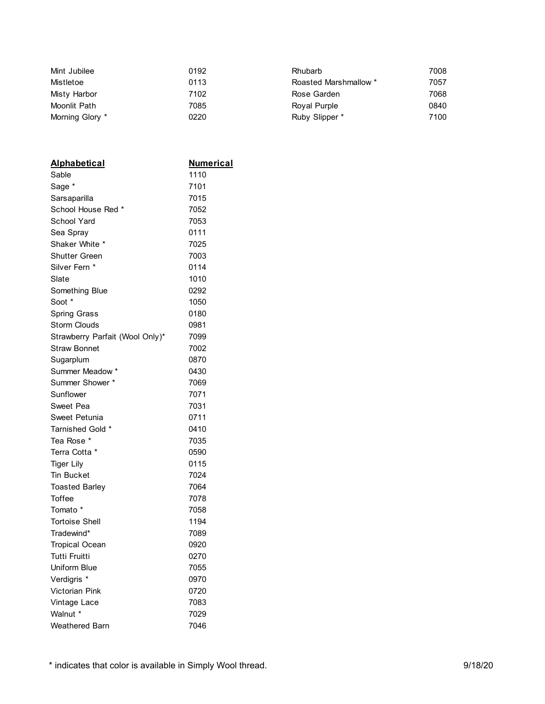| Mint Jubilee    | 0192 | <b>Rhubarb</b>        | 7008 |
|-----------------|------|-----------------------|------|
| Mistletoe       | 0113 | Roasted Marshmallow * | 7057 |
| Misty Harbor    | 7102 | Rose Garden           | 7068 |
| Moonlit Path    | 7085 | Royal Purple          | 0840 |
| Morning Glory * | 0220 | Ruby Slipper *        | 7100 |

| <b>Alphabetical</b>             | Numerical |
|---------------------------------|-----------|
| Sable                           | 1110      |
| Sage *                          | 7101      |
| Sarsaparilla                    | 7015      |
| School House Red *              | 7052      |
| <b>School Yard</b>              | 7053      |
| Sea Spray                       | 0111      |
| Shaker White *                  | 7025      |
| Shutter Green                   | 7003      |
| Silver Fern *                   | 0114      |
| Slate                           | 1010      |
| Something Blue                  | 0292      |
| Soot *                          | 1050      |
| Spring Grass                    | 0180      |
| Storm Clouds                    | 0981      |
| Strawberry Parfait (Wool Only)* | 7099      |
| <b>Straw Bonnet</b>             | 7002      |
| Sugarplum                       | 0870      |
| Summer Meadow *                 | 0430      |
| Summer Shower *                 | 7069      |
| Sunflower                       | 7071      |
| Sweet Pea                       | 7031      |
| Sweet Petunia                   | 0711      |
| Tarnished Gold *                | 0410      |
| Tea Rose *                      | 7035      |
| Terra Cotta *                   | 0590      |
| <b>Tiger Lily</b>               | 0115      |
| <b>Tin Bucket</b>               | 7024      |
| <b>Toasted Barley</b>           | 7064      |
| <b>Toffee</b>                   | 7078      |
| Tomato *                        | 7058      |
| <b>Tortoise Shell</b>           | 1194      |
| Tradewind*                      | 7089      |
| <b>Tropical Ocean</b>           | 0920      |
| Tutti Fruitti                   | 0270      |
| Uniform Blue                    | 7055      |
| Verdigris <sup>*</sup>          | 0970      |
| <b>Victorian Pink</b>           | 0720      |
| Vintage Lace                    | 7083      |
| Walnut *                        | 7029      |
| Weathered Barn                  | 7046      |

\* indicates that color is available in Simply Wool thread. 9/18/20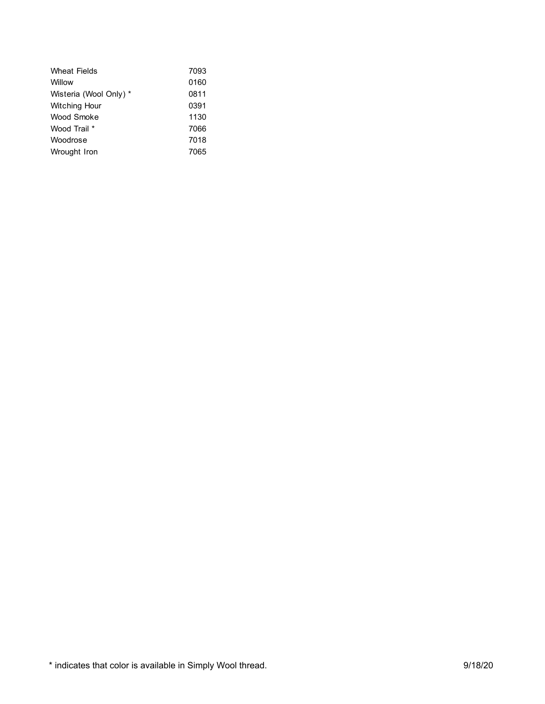| <b>Wheat Fields</b>    | 7093 |
|------------------------|------|
| Willow                 | 0160 |
| Wisteria (Wool Only) * | 0811 |
| Witching Hour          | 0391 |
| Wood Smoke             | 1130 |
| Wood Trail *           | 7066 |
| Woodrose               | 7018 |
| Wrought Iron           | 7065 |